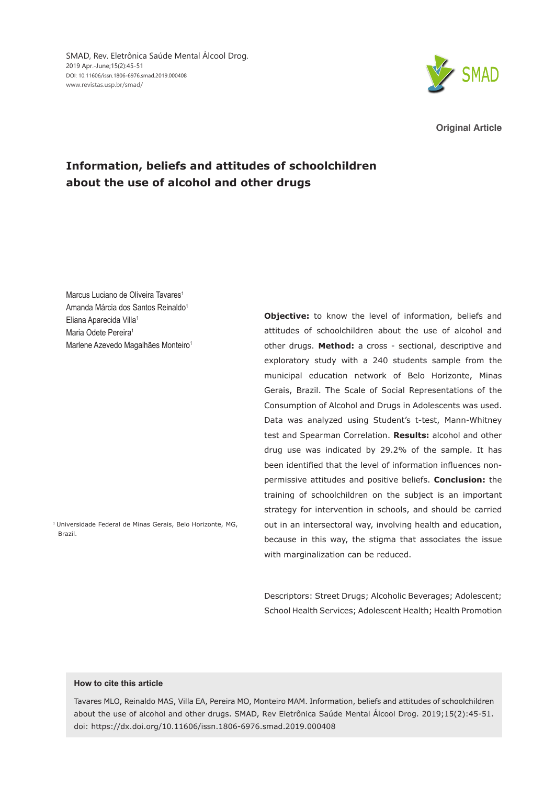

**Original Article**

# **Information, beliefs and attitudes of schoolchildren about the use of alcohol and other drugs**

Marcus Luciano de Oliveira Tavares<sup>1</sup> Amanda Márcia dos Santos Reinaldo<sup>1</sup> Eliana Aparecida Villa<sup>1</sup> Maria Odete Pereira<sup>1</sup> Marlene Azevedo Magalhães Monteiro<sup>1</sup>

1 Universidade Federal de Minas Gerais, Belo Horizonte, MG, Brazil.

**Objective:** to know the level of information, beliefs and attitudes of schoolchildren about the use of alcohol and other drugs. **Method:** a cross - sectional, descriptive and exploratory study with a 240 students sample from the municipal education network of Belo Horizonte, Minas Gerais, Brazil. The Scale of Social Representations of the Consumption of Alcohol and Drugs in Adolescents was used. Data was analyzed using Student's t-test, Mann-Whitney test and Spearman Correlation. **Results:** alcohol and other drug use was indicated by 29.2% of the sample. It has been identified that the level of information influences nonpermissive attitudes and positive beliefs. **Conclusion:** the training of schoolchildren on the subject is an important strategy for intervention in schools, and should be carried out in an intersectoral way, involving health and education, because in this way, the stigma that associates the issue with marginalization can be reduced.

Descriptors: Street Drugs; Alcoholic Beverages; Adolescent; School Health Services; Adolescent Health; Health Promotion

### **How to cite this article**

Tavares MLO, Reinaldo MAS, Villa EA, Pereira MO, Monteiro MAM. Information, beliefs and attitudes of schoolchildren about the use of alcohol and other drugs. SMAD, Rev Eletrônica Saúde Mental Álcool Drog. 2019;15(2):45-51. doi: https://dx.doi.org/10.11606/issn.1806-6976.smad.2019.000408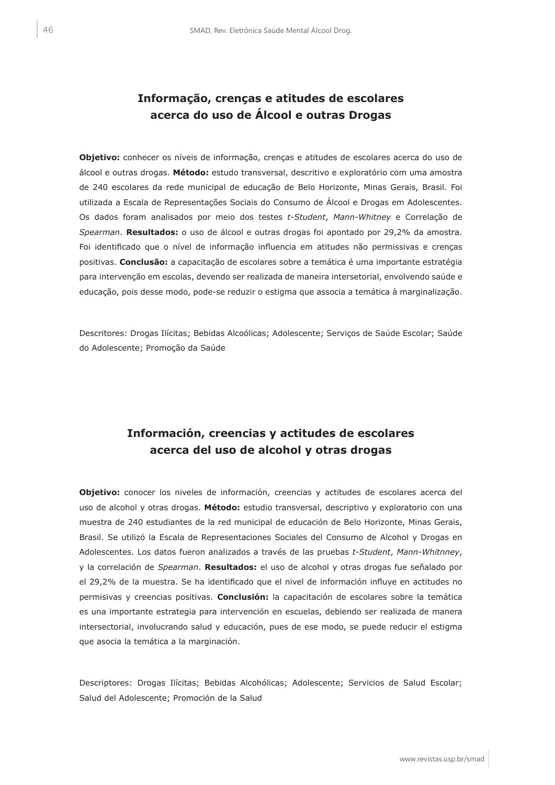## **Informação, crenças e atitudes de escolares acerca do uso de Álcool e outras Drogas**

**Objetivo:** conhecer os níveis de informação, crenças e atitudes de escolares acerca do uso de álcool e outras drogas. **Método:** estudo transversal, descritivo e exploratório com uma amostra de 240 escolares da rede municipal de educação de Belo Horizonte, Minas Gerais, Brasil. Foi utilizada a Escala de Representações Sociais do Consumo de Álcool e Drogas em Adolescentes. Os dados foram analisados por meio dos testes *t-Student*, *Mann-Whitney* e Correlação de *Spearman*. **Resultados:** o uso de álcool e outras drogas foi apontado por 29,2% da amostra. Foi identificado que o nível de informação influencia em atitudes não permissivas e crenças positivas. **Conclusão:** a capacitação de escolares sobre a temática é uma importante estratégia para intervenção em escolas, devendo ser realizada de maneira intersetorial, envolvendo saúde e educação, pois desse modo, pode-se reduzir o estigma que associa a temática à marginalização.

Descritores: Drogas Ilícitas; Bebidas Alcoólicas; Adolescente; Serviços de Saúde Escolar; Saúde do Adolescente; Promoção da Saúde

## **Información, creencias y actitudes de escolares acerca del uso de alcohol y otras drogas**

**Objetivo:** conocer los niveles de información, creencias y actitudes de escolares acerca del uso de alcohol y otras drogas. **Método:** estudio transversal, descriptivo y exploratorio con una muestra de 240 estudiantes de la red municipal de educación de Belo Horizonte, Minas Gerais, Brasil. Se utilizó la Escala de Representaciones Sociales del Consumo de Alcohol y Drogas en Adolescentes. Los datos fueron analizados a través de las pruebas *t-Student*, *Mann-Whitnney*, y la correlación de *Spearman*. **Resultados:** el uso de alcohol y otras drogas fue señalado por el 29,2% de la muestra. Se ha identificado que el nivel de información influye en actitudes no permisivas y creencias positivas. **Conclusión:** la capacitación de escolares sobre la temática es una importante estrategia para intervención en escuelas, debiendo ser realizada de manera intersectorial, involucrando salud y educación, pues de ese modo, se puede reducir el estigma que asocia la temática a la marginación.

Descriptores: Drogas Ilícitas; Bebidas Alcohólicas; Adolescente; Servicios de Salud Escolar; Salud del Adolescente; Promoción de la Salud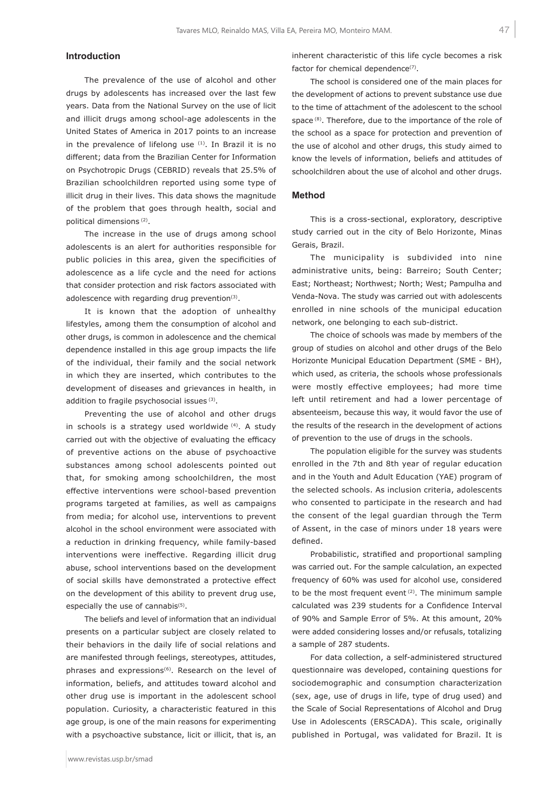## **Introduction**

The prevalence of the use of alcohol and other drugs by adolescents has increased over the last few years. Data from the National Survey on the use of licit and illicit drugs among school-age adolescents in the United States of America in 2017 points to an increase in the prevalence of lifelong use  $(1)$ . In Brazil it is no different; data from the Brazilian Center for Information on Psychotropic Drugs (CEBRID) reveals that 25.5% of Brazilian schoolchildren reported using some type of illicit drug in their lives. This data shows the magnitude of the problem that goes through health, social and political dimensions (2).

The increase in the use of drugs among school adolescents is an alert for authorities responsible for public policies in this area, given the specificities of adolescence as a life cycle and the need for actions that consider protection and risk factors associated with adolescence with regarding drug prevention $(3)$ .

It is known that the adoption of unhealthy lifestyles, among them the consumption of alcohol and other drugs, is common in adolescence and the chemical dependence installed in this age group impacts the life of the individual, their family and the social network in which they are inserted, which contributes to the development of diseases and grievances in health, in addition to fragile psychosocial issues (3).

Preventing the use of alcohol and other drugs in schools is a strategy used worldwide (4). A study carried out with the objective of evaluating the efficacy of preventive actions on the abuse of psychoactive substances among school adolescents pointed out that, for smoking among schoolchildren, the most effective interventions were school-based prevention programs targeted at families, as well as campaigns from media; for alcohol use, interventions to prevent alcohol in the school environment were associated with a reduction in drinking frequency, while family-based interventions were ineffective. Regarding illicit drug abuse, school interventions based on the development of social skills have demonstrated a protective effect on the development of this ability to prevent drug use, especially the use of cannabis<sup>(5)</sup>.

The beliefs and level of information that an individual presents on a particular subject are closely related to their behaviors in the daily life of social relations and are manifested through feelings, stereotypes, attitudes, phrases and expressions<sup>(6)</sup>. Research on the level of information, beliefs, and attitudes toward alcohol and other drug use is important in the adolescent school population. Curiosity, a characteristic featured in this age group, is one of the main reasons for experimenting with a psychoactive substance, licit or illicit, that is, an

The school is considered one of the main places for the development of actions to prevent substance use due to the time of attachment of the adolescent to the school space<sup>(8)</sup>. Therefore, due to the importance of the role of the school as a space for protection and prevention of the use of alcohol and other drugs, this study aimed to know the levels of information, beliefs and attitudes of schoolchildren about the use of alcohol and other drugs.

#### **Method**

This is a cross-sectional, exploratory, descriptive study carried out in the city of Belo Horizonte, Minas Gerais, Brazil.

The municipality is subdivided into nine administrative units, being: Barreiro; South Center; East; Northeast; Northwest; North; West; Pampulha and Venda-Nova. The study was carried out with adolescents enrolled in nine schools of the municipal education network, one belonging to each sub-district.

The choice of schools was made by members of the group of studies on alcohol and other drugs of the Belo Horizonte Municipal Education Department (SME - BH), which used, as criteria, the schools whose professionals were mostly effective employees; had more time left until retirement and had a lower percentage of absenteeism, because this way, it would favor the use of the results of the research in the development of actions of prevention to the use of drugs in the schools.

The population eligible for the survey was students enrolled in the 7th and 8th year of regular education and in the Youth and Adult Education (YAE) program of the selected schools. As inclusion criteria, adolescents who consented to participate in the research and had the consent of the legal guardian through the Term of Assent, in the case of minors under 18 years were defined.

Probabilistic, stratified and proportional sampling was carried out. For the sample calculation, an expected frequency of 60% was used for alcohol use, considered to be the most frequent event (2). The minimum sample calculated was 239 students for a Confidence Interval of 90% and Sample Error of 5%. At this amount, 20% were added considering losses and/or refusals, totalizing a sample of 287 students.

For data collection, a self-administered structured questionnaire was developed, containing questions for sociodemographic and consumption characterization (sex, age, use of drugs in life, type of drug used) and the Scale of Social Representations of Alcohol and Drug Use in Adolescents (ERSCADA). This scale, originally published in Portugal, was validated for Brazil. It is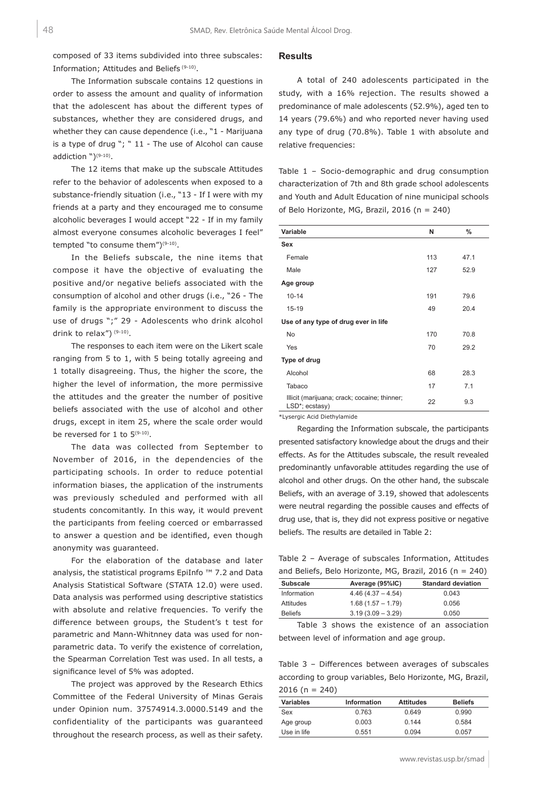composed of 33 items subdivided into three subscales: Information; Attitudes and Beliefs (9-10).

The Information subscale contains 12 questions in order to assess the amount and quality of information that the adolescent has about the different types of substances, whether they are considered drugs, and whether they can cause dependence (i.e., "1 - Marijuana is a type of drug "; " 11 - The use of Alcohol can cause addiction ")<sup>(9-10)</sup>.

The 12 items that make up the subscale Attitudes refer to the behavior of adolescents when exposed to a substance-friendly situation (i.e., "13 - If I were with my friends at a party and they encouraged me to consume alcoholic beverages I would accept "22 - If in my family almost everyone consumes alcoholic beverages I feel" tempted "to consume them")(9-10).

In the Beliefs subscale, the nine items that compose it have the objective of evaluating the positive and/or negative beliefs associated with the consumption of alcohol and other drugs (i.e., "26 - The family is the appropriate environment to discuss the use of drugs ";" 29 - Adolescents who drink alcohol drink to relax") (9-10).

The responses to each item were on the Likert scale ranging from 5 to 1, with 5 being totally agreeing and 1 totally disagreeing. Thus, the higher the score, the higher the level of information, the more permissive the attitudes and the greater the number of positive beliefs associated with the use of alcohol and other drugs, except in item 25, where the scale order would be reversed for 1 to  $5^{(9-10)}$ .

The data was collected from September to November of 2016, in the dependencies of the participating schools. In order to reduce potential information biases, the application of the instruments was previously scheduled and performed with all students concomitantly. In this way, it would prevent the participants from feeling coerced or embarrassed to answer a question and be identified, even though anonymity was guaranteed.

For the elaboration of the database and later analysis, the statistical programs EpiInfo ™ 7.2 and Data Analysis Statistical Software (STATA 12.0) were used. Data analysis was performed using descriptive statistics with absolute and relative frequencies. To verify the difference between groups, the Student's t test for parametric and Mann-Whitnney data was used for nonparametric data. To verify the existence of correlation, the Spearman Correlation Test was used. In all tests, a significance level of 5% was adopted.

The project was approved by the Research Ethics Committee of the Federal University of Minas Gerais under Opinion num. 37574914.3.0000.5149 and the confidentiality of the participants was guaranteed throughout the research process, as well as their safety.

## **Results**

A total of 240 adolescents participated in the study, with a 16% rejection. The results showed a predominance of male adolescents (52.9%), aged ten to 14 years (79.6%) and who reported never having used any type of drug (70.8%). Table 1 with absolute and relative frequencies:

Table 1 – Socio-demographic and drug consumption characterization of 7th and 8th grade school adolescents and Youth and Adult Education of nine municipal schools of Belo Horizonte, MG, Brazil, 2016 (n = 240)

| Variable                                                       | N   | $\%$ |  |
|----------------------------------------------------------------|-----|------|--|
| <b>Sex</b>                                                     |     |      |  |
| Female                                                         | 113 | 47.1 |  |
| Male                                                           | 127 | 52.9 |  |
| Age group                                                      |     |      |  |
| $10 - 14$                                                      | 191 | 79.6 |  |
| $15 - 19$                                                      | 49  | 20.4 |  |
| Use of any type of drug ever in life                           |     |      |  |
| <b>No</b>                                                      | 170 | 70.8 |  |
| Yes                                                            | 70  | 29.2 |  |
| Type of drug                                                   |     |      |  |
| Alcohol                                                        | 68  | 28.3 |  |
| Tabaco                                                         | 17  | 7.1  |  |
| Illicit (marijuana; crack; cocaine; thinner;<br>LSD*; ecstasy) | 22  | 9.3  |  |
|                                                                |     |      |  |

\*Lysergic Acid Diethylamide

Regarding the Information subscale, the participants presented satisfactory knowledge about the drugs and their effects. As for the Attitudes subscale, the result revealed predominantly unfavorable attitudes regarding the use of alcohol and other drugs. On the other hand, the subscale Beliefs, with an average of 3.19, showed that adolescents were neutral regarding the possible causes and effects of drug use, that is, they did not express positive or negative beliefs. The results are detailed in Table 2:

Table 2 – Average of subscales Information, Attitudes and Beliefs, Belo Horizonte, MG, Brazil, 2016 (n = 240)

| <b>Subscale</b> | Average (95%IC)     | <b>Standard deviation</b> |
|-----------------|---------------------|---------------------------|
| Information     | $4.46(4.37 - 4.54)$ | 0.043                     |
| Attitudes       | $1.68(1.57 - 1.79)$ | 0.056                     |
| <b>Beliefs</b>  | $3.19(3.09 - 3.29)$ | 0.050                     |
|                 |                     |                           |

Table 3 shows the existence of an association between level of information and age group.

Table 3 – Differences between averages of subscales according to group variables, Belo Horizonte, MG, Brazil,  $2016 (n = 240)$ 

| <b>Variables</b> | <b>Information</b> | <b>Attitudes</b> | <b>Beliefs</b> |
|------------------|--------------------|------------------|----------------|
| Sex              | 0.763              | 0.649            | 0.990          |
| Age group        | 0.003              | 0.144            | 0.584          |
| Use in life      | 0.551              | 0.094            | 0.057          |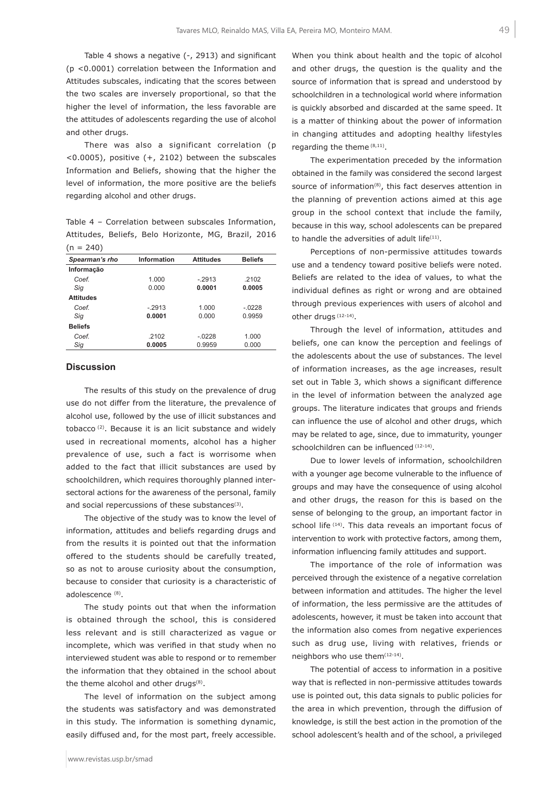Table 4 shows a negative (-, 2913) and significant (p <0.0001) correlation between the Information and Attitudes subscales, indicating that the scores between the two scales are inversely proportional, so that the higher the level of information, the less favorable are the attitudes of adolescents regarding the use of alcohol and other drugs.

There was also a significant correlation (p <0.0005), positive (+, 2102) between the subscales Information and Beliefs, showing that the higher the level of information, the more positive are the beliefs regarding alcohol and other drugs.

Table 4 – Correlation between subscales Information, Attitudes, Beliefs, Belo Horizonte, MG, Brazil, 2016  $(n = 240)$ 

| Spearman's rho   | <b>Information</b> | <b>Attitudes</b> | <b>Beliefs</b> |
|------------------|--------------------|------------------|----------------|
| Informação       |                    |                  |                |
| Coef.            | 1.000              | $-2913$          | .2102          |
| Sig              | 0.000              | 0.0001           | 0.0005         |
| <b>Attitudes</b> |                    |                  |                |
| Coef.            | $-2913$            | 1.000            | $-0228$        |
| Sig              | 0.0001             | 0.000            | 0.9959         |
| <b>Beliefs</b>   |                    |                  |                |
| Coef.            | .2102              | $-.0228$         | 1.000          |
| Sig              | 0.0005             | 0.9959           | 0.000          |

### **Discussion**

The results of this study on the prevalence of drug use do not differ from the literature, the prevalence of alcohol use, followed by the use of illicit substances and tobacco (2). Because it is an licit substance and widely used in recreational moments, alcohol has a higher prevalence of use, such a fact is worrisome when added to the fact that illicit substances are used by schoolchildren, which requires thoroughly planned intersectoral actions for the awareness of the personal, family and social repercussions of these substances $(3)$ .

The objective of the study was to know the level of information, attitudes and beliefs regarding drugs and from the results it is pointed out that the information offered to the students should be carefully treated, so as not to arouse curiosity about the consumption, because to consider that curiosity is a characteristic of adolescence (8).

The study points out that when the information is obtained through the school, this is considered less relevant and is still characterized as vague or incomplete, which was verified in that study when no interviewed student was able to respond or to remember the information that they obtained in the school about the theme alcohol and other drugs<sup>(8)</sup>.

The level of information on the subject among the students was satisfactory and was demonstrated in this study. The information is something dynamic, easily diffused and, for the most part, freely accessible.

When you think about health and the topic of alcohol and other drugs, the question is the quality and the source of information that is spread and understood by schoolchildren in a technological world where information is quickly absorbed and discarded at the same speed. It is a matter of thinking about the power of information in changing attitudes and adopting healthy lifestyles regarding the theme (8,11).

The experimentation preceded by the information obtained in the family was considered the second largest source of information<sup>(8)</sup>, this fact deserves attention in the planning of prevention actions aimed at this age group in the school context that include the family, because in this way, school adolescents can be prepared to handle the adversities of adult life<sup>(11)</sup>.

Perceptions of non-permissive attitudes towards use and a tendency toward positive beliefs were noted. Beliefs are related to the idea of values, to what the individual defines as right or wrong and are obtained through previous experiences with users of alcohol and other drugs (12-14).

Through the level of information, attitudes and beliefs, one can know the perception and feelings of the adolescents about the use of substances. The level of information increases, as the age increases, result set out in Table 3, which shows a significant difference in the level of information between the analyzed age groups. The literature indicates that groups and friends can influence the use of alcohol and other drugs, which may be related to age, since, due to immaturity, younger schoolchildren can be influenced (12-14).

Due to lower levels of information, schoolchildren with a younger age become vulnerable to the influence of groups and may have the consequence of using alcohol and other drugs, the reason for this is based on the sense of belonging to the group, an important factor in school life (14). This data reveals an important focus of intervention to work with protective factors, among them, information influencing family attitudes and support.

The importance of the role of information was perceived through the existence of a negative correlation between information and attitudes. The higher the level of information, the less permissive are the attitudes of adolescents, however, it must be taken into account that the information also comes from negative experiences such as drug use, living with relatives, friends or neighbors who use them<sup>(12-14)</sup>.

The potential of access to information in a positive way that is reflected in non-permissive attitudes towards use is pointed out, this data signals to public policies for the area in which prevention, through the diffusion of knowledge, is still the best action in the promotion of the school adolescent's health and of the school, a privileged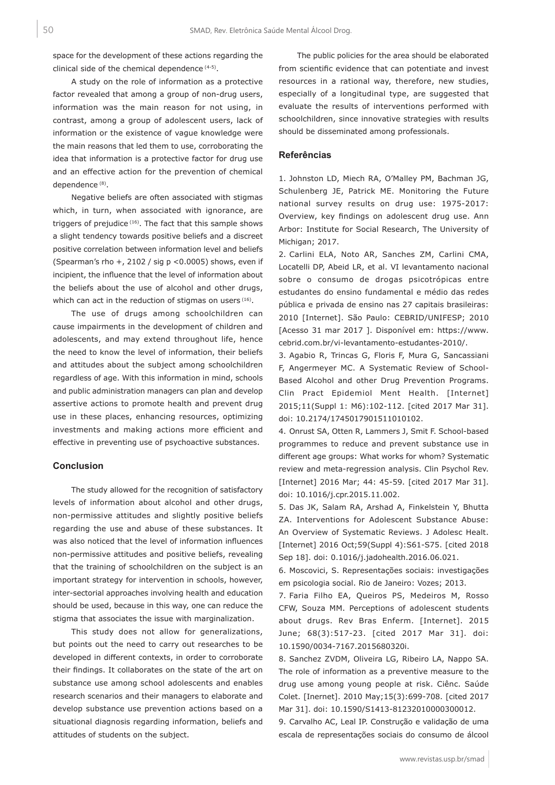space for the development of these actions regarding the clinical side of the chemical dependence (4-5).

A study on the role of information as a protective factor revealed that among a group of non-drug users, information was the main reason for not using, in contrast, among a group of adolescent users, lack of information or the existence of vague knowledge were the main reasons that led them to use, corroborating the idea that information is a protective factor for drug use and an effective action for the prevention of chemical dependence (8).

Negative beliefs are often associated with stigmas which, in turn, when associated with ignorance, are triggers of prejudice (16). The fact that this sample shows a slight tendency towards positive beliefs and a discreet positive correlation between information level and beliefs (Spearman's rho  $+$ , 2102 / sig p <0.0005) shows, even if incipient, the influence that the level of information about the beliefs about the use of alcohol and other drugs, which can act in the reduction of stigmas on users (16).

The use of drugs among schoolchildren can cause impairments in the development of children and adolescents, and may extend throughout life, hence the need to know the level of information, their beliefs and attitudes about the subject among schoolchildren regardless of age. With this information in mind, schools and public administration managers can plan and develop assertive actions to promote health and prevent drug use in these places, enhancing resources, optimizing investments and making actions more efficient and effective in preventing use of psychoactive substances.

### **Conclusion**

The study allowed for the recognition of satisfactory levels of information about alcohol and other drugs, non-permissive attitudes and slightly positive beliefs regarding the use and abuse of these substances. It was also noticed that the level of information influences non-permissive attitudes and positive beliefs, revealing that the training of schoolchildren on the subject is an important strategy for intervention in schools, however, inter-sectorial approaches involving health and education should be used, because in this way, one can reduce the stigma that associates the issue with marginalization.

This study does not allow for generalizations, but points out the need to carry out researches to be developed in different contexts, in order to corroborate their findings. It collaborates on the state of the art on substance use among school adolescents and enables research scenarios and their managers to elaborate and develop substance use prevention actions based on a situational diagnosis regarding information, beliefs and attitudes of students on the subject.

The public policies for the area should be elaborated from scientific evidence that can potentiate and invest resources in a rational way, therefore, new studies, especially of a longitudinal type, are suggested that evaluate the results of interventions performed with schoolchildren, since innovative strategies with results should be disseminated among professionals.

#### **Referências**

1. Johnston LD, Miech RA, O'Malley PM, Bachman JG, Schulenberg JE, Patrick ME. Monitoring the Future national survey results on drug use: 1975-2017: Overview, key findings on adolescent drug use. Ann Arbor: Institute for Social Research, The University of Michigan; 2017.

2. Carlini ELA, Noto AR, Sanches ZM, Carlini CMA, Locatelli DP, Abeid LR, et al. VI levantamento nacional sobre o consumo de drogas psicotrópicas entre estudantes do ensino fundamental e médio das redes pública e privada de ensino nas 27 capitais brasileiras: 2010 [Internet]. São Paulo: CEBRID/UNIFESP; 2010 [Acesso 31 mar 2017 ]. Disponível em: https://www. cebrid.com.br/vi-levantamento-estudantes-2010/.

3. Agabio R, Trincas G, Floris F, Mura G, Sancassiani F, Angermeyer MC. A Systematic Review of School-Based Alcohol and other Drug Prevention Programs. Clin Pract Epidemiol Ment Health. [Internet] 2015;11(Suppl 1: M6):102-112. [cited 2017 Mar 31]. doi: 10.2174/1745017901511010102.

4. Onrust SA, Otten R, Lammers J, Smit F. School-based programmes to reduce and prevent substance use in different age groups: What works for whom? Systematic review and meta-regression analysis. Clin Psychol Rev. [Internet] 2016 Mar; 44: 45-59. [cited 2017 Mar 31]. doi: 10.1016/j.cpr.2015.11.002.

5. Das JK, Salam RA, Arshad A, Finkelstein Y, Bhutta ZA. Interventions for Adolescent Substance Abuse: An Overview of Systematic Reviews. J Adolesc Healt. [Internet] 2016 Oct;59(Suppl 4):S61-S75. [cited 2018 Sep 18]. doi: 0.1016/j.jadohealth.2016.06.021.

6. Moscovici, S. Representações sociais: investigações em psicologia social. Rio de Janeiro: Vozes; 2013.

7. Faria Filho EA, Queiros PS, Medeiros M, Rosso CFW, Souza MM. Perceptions of adolescent students about drugs. Rev Bras Enferm. [Internet]. 2015 June; 68(3):517-23. [cited 2017 Mar 31]. doi: 10.1590/0034-7167.2015680320i.

8. Sanchez ZVDM, Oliveira LG, Ribeiro LA, Nappo SA. The role of information as a preventive measure to the drug use among young people at risk. Ciênc. Saúde Colet. [Inernet]. 2010 May;15(3):699-708. [cited 2017 Mar 31]. doi: 10.1590/S1413-81232010000300012.

9. Carvalho AC, Leal IP. Construção e validação de uma escala de representações sociais do consumo de álcool